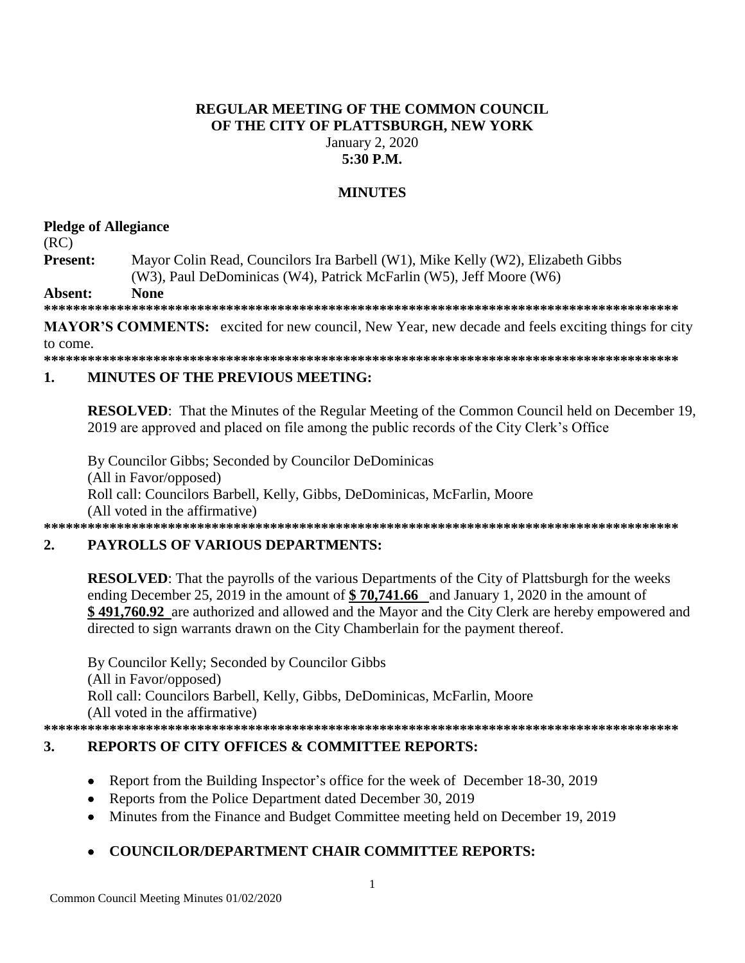## **REGULAR MEETING OF THE COMMON COUNCIL** OF THE CITY OF PLATTSBURGH, NEW YORK January 2, 2020  $5:30$  P.M.

## **MINUTES**

## **Pledge of Allegiance**

 $(RC)$ 

Present: Mayor Colin Read, Councilors Ira Barbell (W1), Mike Kelly (W2), Elizabeth Gibbs (W3), Paul DeDominicas (W4), Patrick McFarlin (W5), Jeff Moore (W6)

**None** Absent:

**MAYOR'S COMMENTS:** excited for new council, New Year, new decade and feels exciting things for city to come.

#### **MINUTES OF THE PREVIOUS MEETING:**  $\mathbf{1}$

**RESOLVED:** That the Minutes of the Regular Meeting of the Common Council held on December 19, 2019 are approved and placed on file among the public records of the City Clerk's Office

By Councilor Gibbs; Seconded by Councilor DeDominicas (All in Favor/opposed) Roll call: Councilors Barbell, Kelly, Gibbs, DeDominicas, McFarlin, Moore (All voted in the affirmative) 

### $2.$ **PAYROLLS OF VARIOUS DEPARTMENTS:**

**RESOLVED:** That the payrolls of the various Departments of the City of Plattsburgh for the weeks ending December 25, 2019 in the amount of  $$70,741.66$  and January 1, 2020 in the amount of \$491,760.92 are authorized and allowed and the Mayor and the City Clerk are hereby empowered and directed to sign warrants drawn on the City Chamberlain for the payment thereof.

By Councilor Kelly; Seconded by Councilor Gibbs (All in Favor/opposed) Roll call: Councilors Barbell, Kelly, Gibbs, DeDominicas, McFarlin, Moore (All voted in the affirmative) 

### $3.$ **REPORTS OF CITY OFFICES & COMMITTEE REPORTS:**

- Report from the Building Inspector's office for the week of December 18-30, 2019  $\bullet$
- Reports from the Police Department dated December 30, 2019
- Minutes from the Finance and Budget Committee meeting held on December 19, 2019  $\bullet$

# **COUNCILOR/DEPARTMENT CHAIR COMMITTEE REPORTS:**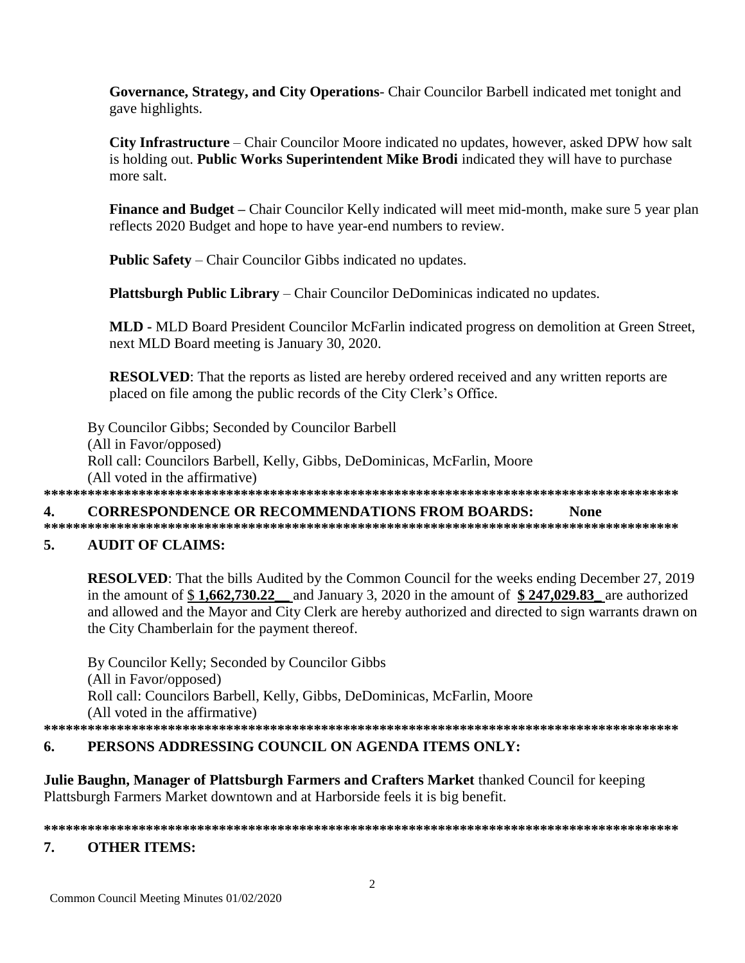Governance, Strategy, and City Operations- Chair Councilor Barbell indicated met tonight and gave highlights.

**City Infrastructure** – Chair Councilor Moore indicated no updates, however, asked DPW how salt is holding out. Public Works Superintendent Mike Brodi indicated they will have to purchase more salt.

**Finance and Budget** – Chair Councilor Kelly indicated will meet mid-month, make sure 5 year plan reflects 2020 Budget and hope to have year-end numbers to review.

**Public Safety** – Chair Councilor Gibbs indicated no updates.

**Plattsburgh Public Library** – Chair Councilor DeDominicas indicated no updates.

**MLD - MLD Board President Councilor McFarlin indicated progress on demolition at Green Street,** next MLD Board meeting is January 30, 2020.

**RESOLVED:** That the reports as listed are hereby ordered received and any written reports are placed on file among the public records of the City Clerk's Office.

By Councilor Gibbs; Seconded by Councilor Barbell (All in Favor/opposed) Roll call: Councilors Barbell, Kelly, Gibbs, DeDominicas, McFarlin, Moore (All voted in the affirmative) 

**CORRESPONDENCE OR RECOMMENDATIONS FROM BOARDS:** 4. **None** 

### 5. **AUDIT OF CLAIMS:**

**RESOLVED:** That the bills Audited by the Common Council for the weeks ending December 27, 2019 in the amount of  $$1,662,730.22$  and January 3, 2020 in the amount of  $$247,029.83$  are authorized and allowed and the Mayor and City Clerk are hereby authorized and directed to sign warrants drawn on the City Chamberlain for the payment thereof.

By Councilor Kelly; Seconded by Councilor Gibbs (All in Favor/opposed) Roll call: Councilors Barbell, Kelly, Gibbs, DeDominicas, McFarlin, Moore (All voted in the affirmative) 

### 6. PERSONS ADDRESSING COUNCIL ON AGENDA ITEMS ONLY:

**Julie Baughn, Manager of Plattsburgh Farmers and Crafters Market thanked Council for keeping** Plattsburgh Farmers Market downtown and at Harborside feels it is big benefit.

### 

### 7. **OTHER ITEMS:**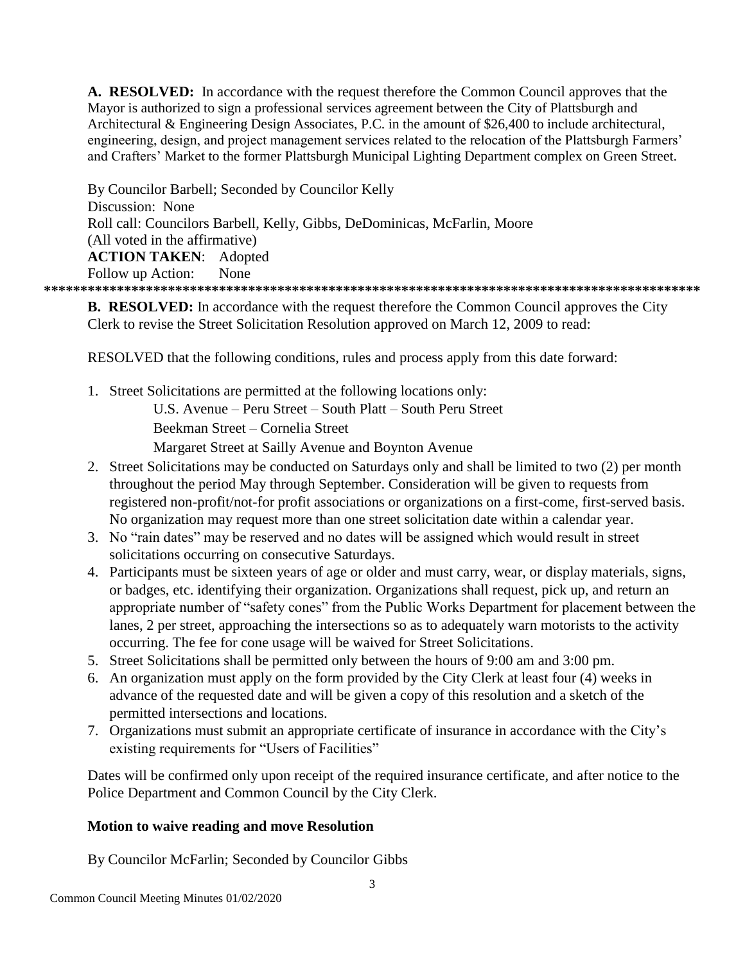**A. RESOLVED:** In accordance with the request therefore the Common Council approves that the Mayor is authorized to sign a professional services agreement between the City of Plattsburgh and Architectural & Engineering Design Associates, P.C. in the amount of \$26,400 to include architectural, engineering, design, and project management services related to the relocation of the Plattsburgh Farmers' and Crafters' Market to the former Plattsburgh Municipal Lighting Department complex on Green Street.

By Councilor Barbell; Seconded by Councilor Kelly Discussion: None Roll call: Councilors Barbell, Kelly, Gibbs, DeDominicas, McFarlin, Moore (All voted in the affirmative) **ACTION TAKEN**: Adopted Follow up Action: None **\*\*\*\*\*\*\*\*\*\*\*\*\*\*\*\*\*\*\*\*\*\*\*\*\*\*\*\*\*\*\*\*\*\*\*\*\*\*\*\*\*\*\*\*\*\*\*\*\*\*\*\*\*\*\*\*\*\*\*\*\*\*\*\*\*\*\*\*\*\*\*\*\*\*\*\*\*\*\*\*\*\*\*\*\*\*\*\*\*\***

**B. RESOLVED:** In accordance with the request therefore the Common Council approves the City Clerk to revise the Street Solicitation Resolution approved on March 12, 2009 to read:

RESOLVED that the following conditions, rules and process apply from this date forward:

1. Street Solicitations are permitted at the following locations only:

U.S. Avenue – Peru Street – South Platt – South Peru Street

Beekman Street – Cornelia Street

Margaret Street at Sailly Avenue and Boynton Avenue

- 2. Street Solicitations may be conducted on Saturdays only and shall be limited to two (2) per month throughout the period May through September. Consideration will be given to requests from registered non-profit/not-for profit associations or organizations on a first-come, first-served basis. No organization may request more than one street solicitation date within a calendar year.
- 3. No "rain dates" may be reserved and no dates will be assigned which would result in street solicitations occurring on consecutive Saturdays.
- 4. Participants must be sixteen years of age or older and must carry, wear, or display materials, signs, or badges, etc. identifying their organization. Organizations shall request, pick up, and return an appropriate number of "safety cones" from the Public Works Department for placement between the lanes, 2 per street, approaching the intersections so as to adequately warn motorists to the activity occurring. The fee for cone usage will be waived for Street Solicitations.
- 5. Street Solicitations shall be permitted only between the hours of 9:00 am and 3:00 pm.
- 6. An organization must apply on the form provided by the City Clerk at least four (4) weeks in advance of the requested date and will be given a copy of this resolution and a sketch of the permitted intersections and locations.
- 7. Organizations must submit an appropriate certificate of insurance in accordance with the City's existing requirements for "Users of Facilities"

Dates will be confirmed only upon receipt of the required insurance certificate, and after notice to the Police Department and Common Council by the City Clerk.

## **Motion to waive reading and move Resolution**

By Councilor McFarlin; Seconded by Councilor Gibbs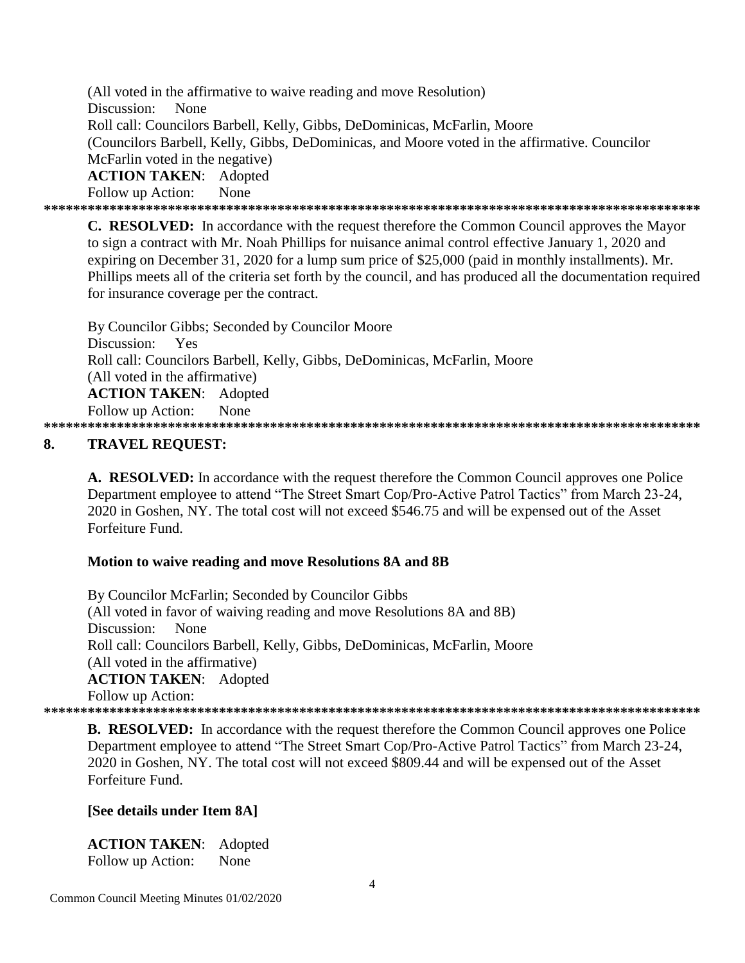(All voted in the affirmative to waive reading and move Resolution) Discussion: None Roll call: Councilors Barbell, Kelly, Gibbs, DeDominicas, McFarlin, Moore (Councilors Barbell, Kelly, Gibbs, DeDominicas, and Moore voted in the affirmative, Councilor McFarlin voted in the negative) **ACTION TAKEN: Adopted** Follow up Action: None 

**C. RESOLVED:** In accordance with the request therefore the Common Council approves the Mayor to sign a contract with Mr. Noah Phillips for nuisance animal control effective January 1, 2020 and expiring on December 31, 2020 for a lump sum price of \$25,000 (paid in monthly installments). Mr. Phillips meets all of the criteria set forth by the council, and has produced all the documentation required for insurance coverage per the contract.

By Councilor Gibbs; Seconded by Councilor Moore Discussion: Yes Roll call: Councilors Barbell, Kelly, Gibbs, DeDominicas, McFarlin, Moore (All voted in the affirmative) **ACTION TAKEN: Adopted** Follow up Action: None 

### 8. **TRAVEL REOUEST:**

A. RESOLVED: In accordance with the request therefore the Common Council approves one Police Department employee to attend "The Street Smart Cop/Pro-Active Patrol Tactics" from March 23-24, 2020 in Goshen, NY. The total cost will not exceed \$546.75 and will be expensed out of the Asset Forfeiture Fund

## Motion to waive reading and move Resolutions 8A and 8B

By Councilor McFarlin; Seconded by Councilor Gibbs (All voted in favor of waiving reading and move Resolutions 8A and 8B) Discussion: **None** Roll call: Councilors Barbell, Kelly, Gibbs, DeDominicas, McFarlin, Moore (All voted in the affirmative) **ACTION TAKEN:** Adopted Follow up Action: 

**B. RESOLVED:** In accordance with the request therefore the Common Council approves one Police Department employee to attend "The Street Smart Cop/Pro-Active Patrol Tactics" from March 23-24, 2020 in Goshen, NY. The total cost will not exceed \$809.44 and will be expensed out of the Asset Forfeiture Fund.

## [See details under Item 8A]

**ACTION TAKEN:** Adopted Follow up Action: None